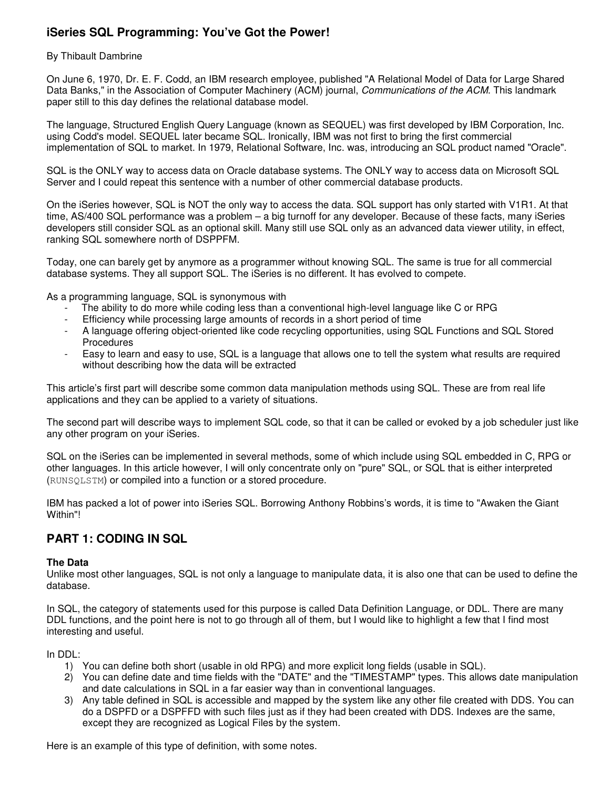# **iSeries SQL Programming: You've Got the Power!**

### By Thibault Dambrine

On June 6, 1970, Dr. E. F. Codd, an IBM research employee, published "A Relational Model of Data for Large Shared Data Banks," in the Association of Computer Machinery (ACM) journal, *Communications of the ACM*. This landmark paper still to this day defines the relational database model.

The language, Structured English Query Language (known as SEQUEL) was first developed by IBM Corporation, Inc. using Codd's model. SEQUEL later became SQL. Ironically, IBM was not first to bring the first commercial implementation of SQL to market. In 1979, Relational Software, Inc. was, introducing an SQL product named "Oracle".

SQL is the ONLY way to access data on Oracle database systems. The ONLY way to access data on Microsoft SQL Server and I could repeat this sentence with a number of other commercial database products.

On the iSeries however, SQL is NOT the only way to access the data. SQL support has only started with V1R1. At that time, AS/400 SQL performance was a problem – a big turnoff for any developer. Because of these facts, many iSeries developers still consider SQL as an optional skill. Many still use SQL only as an advanced data viewer utility, in effect, ranking SQL somewhere north of DSPPFM.

Today, one can barely get by anymore as a programmer without knowing SQL. The same is true for all commercial database systems. They all support SQL. The iSeries is no different. It has evolved to compete.

As a programming language, SQL is synonymous with

- The ability to do more while coding less than a conventional high-level language like C or RPG
- Efficiency while processing large amounts of records in a short period of time
- A language offering object-oriented like code recycling opportunities, using SQL Functions and SQL Stored Procedures
- Easy to learn and easy to use, SQL is a language that allows one to tell the system what results are required without describing how the data will be extracted

This article's first part will describe some common data manipulation methods using SQL. These are from real life applications and they can be applied to a variety of situations.

The second part will describe ways to implement SQL code, so that it can be called or evoked by a job scheduler just like any other program on your iSeries.

SQL on the iSeries can be implemented in several methods, some of which include using SQL embedded in C, RPG or other languages. In this article however, I will only concentrate only on "pure" SQL, or SQL that is either interpreted (RUNSQLSTM) or compiled into a function or a stored procedure.

IBM has packed a lot of power into iSeries SQL. Borrowing Anthony Robbins's words, it is time to "Awaken the Giant Within"!

# **PART 1: CODING IN SQL**

#### **The Data**

Unlike most other languages, SQL is not only a language to manipulate data, it is also one that can be used to define the database.

In SQL, the category of statements used for this purpose is called Data Definition Language, or DDL. There are many DDL functions, and the point here is not to go through all of them, but I would like to highlight a few that I find most interesting and useful.

In DDL:

- 1) You can define both short (usable in old RPG) and more explicit long fields (usable in SQL).
- 2) You can define date and time fields with the "DATE" and the "TIMESTAMP" types. This allows date manipulation and date calculations in SQL in a far easier way than in conventional languages.
- 3) Any table defined in SQL is accessible and mapped by the system like any other file created with DDS. You can do a DSPFD or a DSPFFD with such files just as if they had been created with DDS. Indexes are the same, except they are recognized as Logical Files by the system.

Here is an example of this type of definition, with some notes.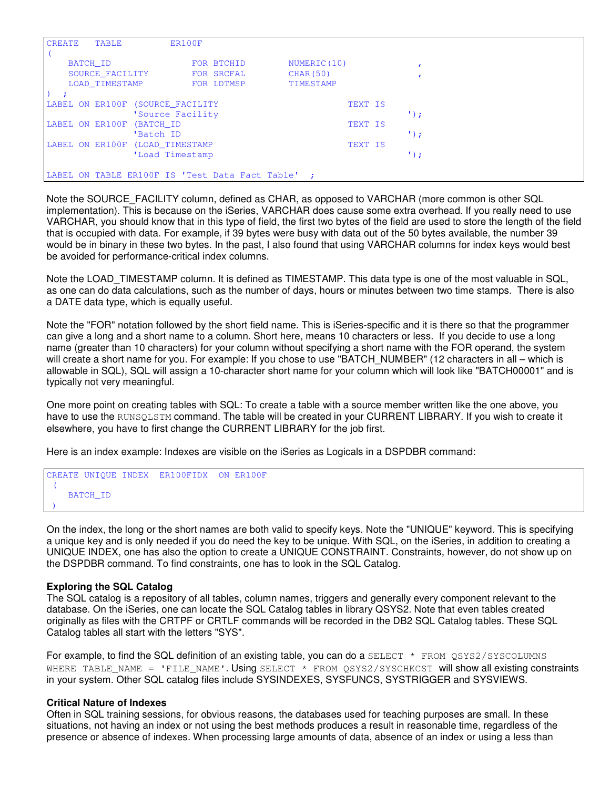| <b>CREATE</b><br><b>TABLE</b>                   | ER100F                           |            |                  |         |             |  |  |
|-------------------------------------------------|----------------------------------|------------|------------------|---------|-------------|--|--|
|                                                 |                                  |            |                  |         |             |  |  |
| BATCH ID                                        |                                  | FOR BTCHID | NUMERIC (10)     |         |             |  |  |
| SOURCE FACILITY                                 |                                  | FOR SRCFAL | <b>CHAR (50)</b> |         |             |  |  |
| LOAD TIMESTAMP                                  |                                  | FOR LDTMSP | TIMESTAMP        |         |             |  |  |
|                                                 |                                  |            |                  |         |             |  |  |
|                                                 | LABEL ON ER100F (SOURCE FACILITY |            |                  | TEXT IS |             |  |  |
|                                                 | 'Source Facility                 |            |                  |         | $\cdot$ :   |  |  |
| LABEL ON ER100F                                 | (BATCH ID                        |            |                  | TEXT IS |             |  |  |
|                                                 | 'Batch ID                        |            |                  |         | $\cdot$ ) : |  |  |
|                                                 | LABEL ON ER100F (LOAD TIMESTAMP  |            |                  | TEXT IS |             |  |  |
|                                                 | 'Load Timestamp                  |            |                  |         | $\cdot$ ) ; |  |  |
|                                                 |                                  |            |                  |         |             |  |  |
| LABEL ON TABLE ER100F IS 'Test Data Fact Table' |                                  |            |                  |         |             |  |  |

Note the SOURCE\_FACILITY column, defined as CHAR, as opposed to VARCHAR (more common is other SQL implementation). This is because on the iSeries, VARCHAR does cause some extra overhead. If you really need to use VARCHAR, you should know that in this type of field, the first two bytes of the field are used to store the length of the field that is occupied with data. For example, if 39 bytes were busy with data out of the 50 bytes available, the number 39 would be in binary in these two bytes. In the past, I also found that using VARCHAR columns for index keys would best be avoided for performance-critical index columns.

Note the LOAD\_TIMESTAMP column. It is defined as TIMESTAMP. This data type is one of the most valuable in SQL, as one can do data calculations, such as the number of days, hours or minutes between two time stamps. There is also a DATE data type, which is equally useful.

Note the "FOR" notation followed by the short field name. This is iSeries-specific and it is there so that the programmer can give a long and a short name to a column. Short here, means 10 characters or less. If you decide to use a long name (greater than 10 characters) for your column without specifying a short name with the FOR operand, the system will create a short name for you. For example: If you chose to use "BATCH\_NUMBER" (12 characters in all – which is allowable in SQL), SQL will assign a 10-character short name for your column which will look like "BATCH00001" and is typically not very meaningful.

One more point on creating tables with SQL: To create a table with a source member written like the one above, you have to use the RUNSQLSTM command. The table will be created in your CURRENT LIBRARY. If you wish to create it elsewhere, you have to first change the CURRENT LIBRARY for the job first.

Here is an index example: Indexes are visible on the iSeries as Logicals in a DSPDBR command:

CREATE UNIQUE INDEX ER100FIDX ON ER100F ( BATCH\_ID )

On the index, the long or the short names are both valid to specify keys. Note the "UNIQUE" keyword. This is specifying a unique key and is only needed if you do need the key to be unique. With SQL, on the iSeries, in addition to creating a UNIQUE INDEX, one has also the option to create a UNIQUE CONSTRAINT. Constraints, however, do not show up on the DSPDBR command. To find constraints, one has to look in the SQL Catalog.

#### **Exploring the SQL Catalog**

The SQL catalog is a repository of all tables, column names, triggers and generally every component relevant to the database. On the iSeries, one can locate the SQL Catalog tables in library QSYS2. Note that even tables created originally as files with the CRTPF or CRTLF commands will be recorded in the DB2 SQL Catalog tables. These SQL Catalog tables all start with the letters "SYS".

For example, to find the SQL definition of an existing table, you can do a SELECT  $*$  FROM QSYS2/SYSCOLUMNS WHERE TABLE\_NAME = 'FILE\_NAME'. Using SELECT \* FROM QSYS2/SYSCHKCST will show all existing constraints in your system. Other SQL catalog files include SYSINDEXES, SYSFUNCS, SYSTRIGGER and SYSVIEWS.

#### **Critical Nature of Indexes**

Often in SQL training sessions, for obvious reasons, the databases used for teaching purposes are small. In these situations, not having an index or not using the best methods produces a result in reasonable time, regardless of the presence or absence of indexes. When processing large amounts of data, absence of an index or using a less than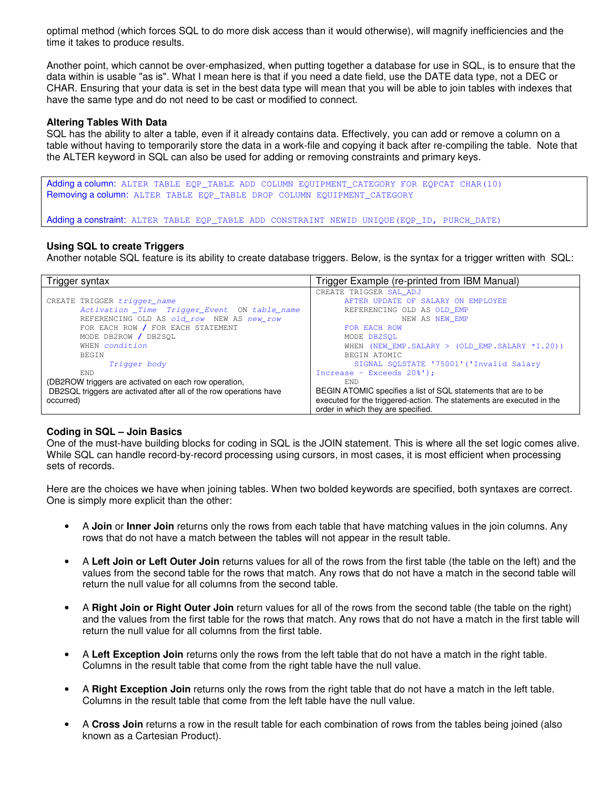optimal method (which forces SQL to do more disk access than it would otherwise), will magnify inefficiencies and the time it takes to produce results.

Another point, which cannot be over-emphasized, when putting together a database for use in SQL, is to ensure that the data within is usable "as is". What I mean here is that if you need a date field, use the DATE data type, not a DEC or CHAR. Ensuring that your data is set in the best data type will mean that you will be able to join tables with indexes that have the same type and do not need to be cast or modified to connect.

### **Altering Tables With Data**

SQL has the ability to alter a table, even if it already contains data. Effectively, you can add or remove a column on a table without having to temporarily store the data in a work-file and copying it back after re-compiling the table. Note that the ALTER keyword in SQL can also be used for adding or removing constraints and primary keys.

Adding a column: ALTER TABLE EQP\_TABLE ADD COLUMN EQUIPMENT CATEGORY FOR EQPCAT CHAR(10) Removing a column: ALTER TABLE EOP TABLE DROP COLUMN EQUIPMENT CATEGORY

Adding a constraint: ALTER TABLE EQP\_TABLE ADD CONSTRAINT NEWID UNIQUE(EQP\_ID, PURCH\_DATE)

#### **Using SQL to create Triggers**

Another notable SQL feature is its ability to create database triggers. Below, is the syntax for a trigger written with SQL:

| Trigger syntax                                                     | Trigger Example (re-printed from IBM Manual)                          |  |  |  |
|--------------------------------------------------------------------|-----------------------------------------------------------------------|--|--|--|
|                                                                    | CREATE TRIGGER SAL_ADJ                                                |  |  |  |
| CREATE TRIGGER trigger_name                                        | AFTER UPDATE OF SALARY ON EMPLOYEE                                    |  |  |  |
| Activation _Time Trigger_Event ON table_name                       | REFERENCING OLD AS OLD EMP                                            |  |  |  |
| REFERENCING OLD AS old_row NEW AS new_row                          | NEW AS NEW EMP                                                        |  |  |  |
| FOR EACH ROW / FOR EACH STATEMENT                                  | FOR EACH ROW                                                          |  |  |  |
| MODE DB2ROW / DB2SOL                                               | MODE DB2SOL                                                           |  |  |  |
| WHEN condition                                                     | WHEN (NEW EMP. SALARY > (OLD EMP. SALARY $*1.20$ ))                   |  |  |  |
| <b>BEGIN</b>                                                       | BEGIN ATOMIC                                                          |  |  |  |
| Trigger body                                                       | SIGNAL SOLSTATE '75001' ('Invalid Salary                              |  |  |  |
| END.                                                               | Increase - Exceeds 20%');                                             |  |  |  |
| (DB2ROW triggers are activated on each row operation,              | END                                                                   |  |  |  |
| DB2SQL triggers are activated after all of the row operations have | BEGIN ATOMIC specifies a list of SQL statements that are to be        |  |  |  |
| occurred)                                                          | executed for the triggered-action. The statements are executed in the |  |  |  |
|                                                                    | order in which they are specified.                                    |  |  |  |

#### **Coding in SQL – Join Basics**

One of the must-have building blocks for coding in SQL is the JOIN statement. This is where all the set logic comes alive. While SQL can handle record-by-record processing using cursors, in most cases, it is most efficient when processing sets of records.

Here are the choices we have when joining tables. When two bolded keywords are specified, both syntaxes are correct. One is simply more explicit than the other:

- A **Join** or **Inner Join** returns only the rows from each table that have matching values in the join columns. Any rows that do not have a match between the tables will not appear in the result table.
- A **Left Join or Left Outer Join** returns values for all of the rows from the first table (the table on the left) and the values from the second table for the rows that match. Any rows that do not have a match in the second table will return the null value for all columns from the second table.
- A **Right Join or Right Outer Join** return values for all of the rows from the second table (the table on the right) and the values from the first table for the rows that match. Any rows that do not have a match in the first table will return the null value for all columns from the first table.
- A **Left Exception Join** returns only the rows from the left table that do not have a match in the right table. Columns in the result table that come from the right table have the null value.
- A **Right Exception Join** returns only the rows from the right table that do not have a match in the left table. Columns in the result table that come from the left table have the null value.
- A **Cross Join** returns a row in the result table for each combination of rows from the tables being joined (also known as a Cartesian Product).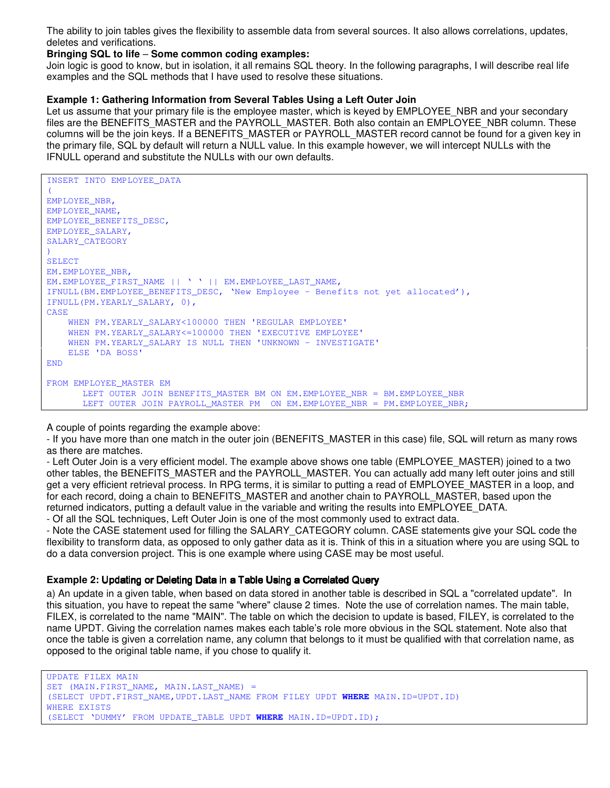The ability to join tables gives the flexibility to assemble data from several sources. It also allows correlations, updates, deletes and verifications.

#### **Bringing SQL to life** – **Some common coding examples:**

Join logic is good to know, but in isolation, it all remains SQL theory. In the following paragraphs, I will describe real life examples and the SQL methods that I have used to resolve these situations.

#### **Example 1: Gathering Information from Several Tables Using a Left Outer Join**

Let us assume that your primary file is the employee master, which is keyed by EMPLOYEE\_NBR and your secondary files are the BENEFITS\_MASTER and the PAYROLL\_MASTER. Both also contain an EMPLOYEE\_NBR column. These columns will be the join keys. If a BENEFITS\_MASTER or PAYROLL\_MASTER record cannot be found for a given key in the primary file, SQL by default will return a NULL value. In this example however, we will intercept NULLs with the IFNULL operand and substitute the NULLs with our own defaults.

```
INSERT INTO EMPLOYEE_DATA
(
EMPLOYEE_NBR,
EMPLOYEE_NAME,
EMPLOYEE_BENEFITS_DESC,
EMPLOYEE_SALARY,
SALARY_CATEGORY
)
SELECT
EM.EMPLOYEE_NBR,
EM.EMPLOYEE_FIRST_NAME || ' ' || EM.EMPLOYEE LAST NAME.
IFNULL(BM.EMPLOYEE_BENEFITS_DESC, 'New Employee – Benefits not yet allocated'),
IFNULL(PM.YEARLY_SALARY, 0),
CASE
    WHEN PM.YEARLY_SALARY<100000 THEN 'REGULAR EMPLOYEE'
    WHEN PM.YEARLY_SALARY<=100000 THEN 'EXECUTIVE EMPLOYEE'
    WHEN PM.YEARLY_SALARY IS NULL THEN 'UNKNOWN - INVESTIGATE'
    ELSE 'DA BOSS'
END
FROM EMPLOYEE MASTER EM
       LEFT OUTER JOIN BENEFITS_MASTER BM ON EM.EMPLOYEE_NBR = BM.EMPLOYEE_NBR
       LEFT OUTER JOIN PAYROLL_MASTER PM ON EM. EMPLOYEE_NBR = PM. EMPLOYEE_NBR;
```
A couple of points regarding the example above:

- If you have more than one match in the outer join (BENEFITS MASTER in this case) file, SQL will return as many rows as there are matches.

- Left Outer Join is a very efficient model. The example above shows one table (EMPLOYEE\_MASTER) joined to a two other tables, the BENEFITS\_MASTER and the PAYROLL\_MASTER. You can actually add many left outer joins and still get a very efficient retrieval process. In RPG terms, it is similar to putting a read of EMPLOYEE\_MASTER in a loop, and for each record, doing a chain to BENEFITS MASTER and another chain to PAYROLL MASTER, based upon the returned indicators, putting a default value in the variable and writing the results into EMPLOYEE\_DATA.

- Of all the SQL techniques, Left Outer Join is one of the most commonly used to extract data.

- Note the CASE statement used for filling the SALARY\_CATEGORY column. CASE statements give your SQL code the flexibility to transform data, as opposed to only gather data as it is. Think of this in a situation where you are using SQL to do a data conversion project. This is one example where using CASE may be most useful.

#### Example 2: Updating or Deleting Data in a Table Using a Correlated Query

a) An update in a given table, when based on data stored in another table is described in SQL a "correlated update". In this situation, you have to repeat the same "where" clause 2 times. Note the use of correlation names. The main table, FILEX, is correlated to the name "MAIN". The table on which the decision to update is based, FILEY, is correlated to the name UPDT. Giving the correlation names makes each table's role more obvious in the SQL statement. Note also that once the table is given a correlation name, any column that belongs to it must be qualified with that correlation name, as opposed to the original table name, if you chose to qualify it.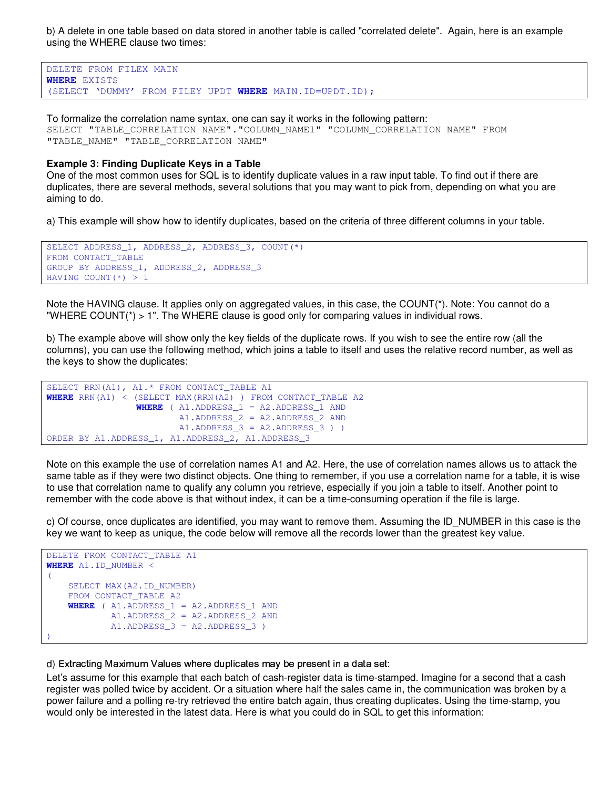b) A delete in one table based on data stored in another table is called "correlated delete". Again, here is an example using the WHERE clause two times:

```
DELETE FROM FILEX MAIN
WHERE EXISTS
(SELECT 'DUMMY' FROM FILEY UPDT WHERE MAIN.ID=UPDT.ID);
```
To formalize the correlation name syntax, one can say it works in the following pattern: SELECT "TABLE\_CORRELATION NAME"."COLUMN\_NAME1" "COLUMN\_CORRELATION NAME" FROM "TABLE\_NAME" "TABLE\_CORRELATION NAME"

#### **Example 3: Finding Duplicate Keys in a Table**

One of the most common uses for SQL is to identify duplicate values in a raw input table. To find out if there are duplicates, there are several methods, several solutions that you may want to pick from, depending on what you are aiming to do.

a) This example will show how to identify duplicates, based on the criteria of three different columns in your table.

```
SELECT ADDRESS_1, ADDRESS_2, ADDRESS_3, COUNT(*)
FROM CONTACT_TABLE
GROUP BY ADDRESS_1, ADDRESS_2, ADDRESS_3
HAVING COUNT(*) > 1
```
Note the HAVING clause. It applies only on aggregated values, in this case, the COUNT(\*). Note: You cannot do a "WHERE COUNT(\*) > 1". The WHERE clause is good only for comparing values in individual rows.

b) The example above will show only the key fields of the duplicate rows. If you wish to see the entire row (all the columns), you can use the following method, which joins a table to itself and uses the relative record number, as well as the keys to show the duplicates:

```
SELECT RRN(A1), A1.* FROM CONTACT_TABLE A1
WHERE RRN(A1) < (SELECT MAX(RRN(A2) ) FROM CONTACT_TABLE A2
                WHERE (AI.ADDRESS 1 = A2.ADDRESS 1 AND
                        A1.ADDRESS_2 = A2.ADDRESS_2 AND
                        A1.ADDRESS_3 = A2.ADDRESS_3 ) )
ORDER BY A1.ADDRESS_1, A1.ADDRESS_2, A1.ADDRESS_3
```
Note on this example the use of correlation names A1 and A2. Here, the use of correlation names allows us to attack the same table as if they were two distinct objects. One thing to remember, if you use a correlation name for a table, it is wise to use that correlation name to qualify any column you retrieve, especially if you join a table to itself. Another point to remember with the code above is that without index, it can be a time-consuming operation if the file is large.

c) Of course, once duplicates are identified, you may want to remove them. Assuming the ID\_NUMBER in this case is the key we want to keep as unique, the code below will remove all the records lower than the greatest key value.

```
DELETE FROM CONTACT_TABLE A1
WHERE A1.ID_NUMBER <
(
    SELECT MAX(A2.ID_NUMBER)
    FROM CONTACT_TABLE A2
    WHERE ( A1.ADDRESS_1 = A2.ADDRESS_1 AND
           A1.ADDRESS_2 = A2.ADDRESS_2 AND
           A1.ADDRESS_3 = A2.ADDRESS_3 )
)
```
d) Extracting Maximum Values where duplicates may be present in a data set:

Let's assume for this example that each batch of cash-register data is time-stamped. Imagine for a second that a cash register was polled twice by accident. Or a situation where half the sales came in, the communication was broken by a power failure and a polling re-try retrieved the entire batch again, thus creating duplicates. Using the time-stamp, you would only be interested in the latest data. Here is what you could do in SQL to get this information: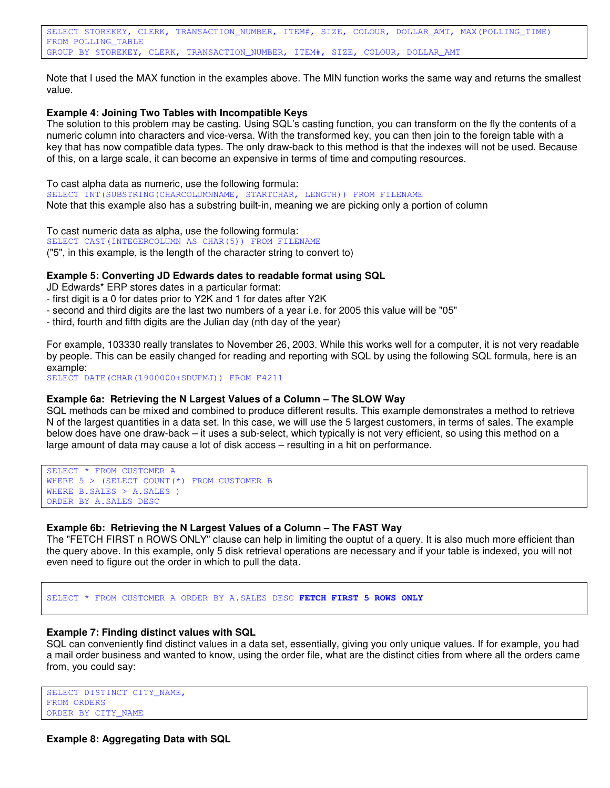Note that I used the MAX function in the examples above. The MIN function works the same way and returns the smallest value.

#### **Example 4: Joining Two Tables with Incompatible Keys**

The solution to this problem may be casting. Using SQL's casting function, you can transform on the fly the contents of a numeric column into characters and vice-versa. With the transformed key, you can then join to the foreign table with a key that has now compatible data types. The only draw-back to this method is that the indexes will not be used. Because of this, on a large scale, it can become an expensive in terms of time and computing resources.

To cast alpha data as numeric, use the following formula: SELECT INT(SUBSTRING(CHARCOLUMNNAME, STARTCHAR, LENGTH)) FROM FILENAME Note that this example also has a substring built-in, meaning we are picking only a portion of column

To cast numeric data as alpha, use the following formula: SELECT CAST(INTEGERCOLUMN AS CHAR(5)) FROM FILENAME ("5", in this example, is the length of the character string to convert to)

### **Example 5: Converting JD Edwards dates to readable format using SQL**

JD Edwards\* ERP stores dates in a particular format:

- first digit is a 0 for dates prior to Y2K and 1 for dates after Y2K
- second and third digits are the last two numbers of a year i.e. for 2005 this value will be "05"
- third, fourth and fifth digits are the Julian day (nth day of the year)

For example, 103330 really translates to November 26, 2003. While this works well for a computer, it is not very readable by people. This can be easily changed for reading and reporting with SQL by using the following SQL formula, here is an example:

SELECT DATE(CHAR(1900000+SDUPMJ)) FROM F4211

#### **Example 6a: Retrieving the N Largest Values of a Column – The SLOW Way**

SQL methods can be mixed and combined to produce different results. This example demonstrates a method to retrieve N of the largest quantities in a data set. In this case, we will use the 5 largest customers, in terms of sales. The example below does have one draw-back – it uses a sub-select, which typically is not very efficient, so using this method on a large amount of data may cause a lot of disk access – resulting in a hit on performance.

```
SELECT * FROM CUSTOMER A
WHERE 5 > (SELECT COUNT(*) FROM CUSTOMER B
WHERE B.SALES > A.SALES )
ORDER BY A.SALES DESC
```
# **Example 6b: Retrieving the N Largest Values of a Column – The FAST Way**

The "FETCH FIRST n ROWS ONLY" clause can help in limiting the ouptut of a query. It is also much more efficient than the query above. In this example, only 5 disk retrieval operations are necessary and if your table is indexed, you will not even need to figure out the order in which to pull the data.

SELECT \* FROM CUSTOMER A ORDER BY A.SALES DESC **FETCH FIRST 5 ROWS ONLY**

#### **Example 7: Finding distinct values with SQL**

SQL can conveniently find distinct values in a data set, essentially, giving you only unique values. If for example, you had a mail order business and wanted to know, using the order file, what are the distinct cities from where all the orders came from, you could say:

```
SELECT DISTINCT CITY_NAME,
FROM ORDERS
ORDER BY CITY_NAME
```
**Example 8: Aggregating Data with SQL**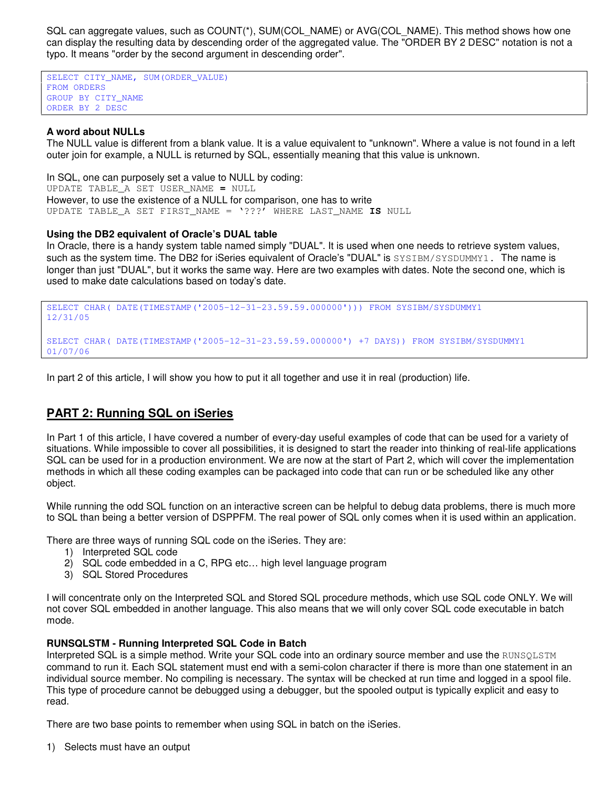SQL can aggregate values, such as COUNT(\*), SUM(COL\_NAME) or AVG(COL\_NAME). This method shows how one can display the resulting data by descending order of the aggregated value. The "ORDER BY 2 DESC" notation is not a typo. It means "order by the second argument in descending order".

SELECT CITY\_NAME, SUM(ORDER\_VALUE) FROM ORDERS GROUP BY CITY\_NAME ORDER BY 2 DESC

# **A word about NULLs**

The NULL value is different from a blank value. It is a value equivalent to "unknown". Where a value is not found in a left outer join for example, a NULL is returned by SQL, essentially meaning that this value is unknown.

In SQL, one can purposely set a value to NULL by coding: UPDATE TABLE\_A SET USER\_NAME **=** NULL However, to use the existence of a NULL for comparison, one has to write UPDATE TABLE\_A SET FIRST\_NAME = '???' WHERE LAST\_NAME **IS** NULL

#### **Using the DB2 equivalent of Oracle's DUAL table**

In Oracle, there is a handy system table named simply "DUAL". It is used when one needs to retrieve system values, such as the system time. The DB2 for iSeries equivalent of Oracle's "DUAL" is SYSIBM/SYSDUMMY1. The name is longer than just "DUAL", but it works the same way. Here are two examples with dates. Note the second one, which is used to make date calculations based on today's date.

SELECT CHAR( DATE(TIMESTAMP('2005-12-31-23.59.59.000000'))) FROM SYSIBM/SYSDUMMY1 12/31/05 SELECT CHAR( DATE(TIMESTAMP('2005-12-31-23.59.59.000000') +7 DAYS)) FROM SYSIBM/SYSDUMMY1 01/07/06

In part 2 of this article, I will show you how to put it all together and use it in real (production) life.

# **PART 2: Running SQL on iSeries**

In Part 1 of this article, I have covered a number of every-day useful examples of code that can be used for a variety of situations. While impossible to cover all possibilities, it is designed to start the reader into thinking of real-life applications SQL can be used for in a production environment. We are now at the start of Part 2, which will cover the implementation methods in which all these coding examples can be packaged into code that can run or be scheduled like any other object.

While running the odd SQL function on an interactive screen can be helpful to debug data problems, there is much more to SQL than being a better version of DSPPFM. The real power of SQL only comes when it is used within an application.

There are three ways of running SQL code on the iSeries. They are:

- 1) Interpreted SQL code
- 2) SQL code embedded in a C, RPG etc… high level language program
- 3) SQL Stored Procedures

I will concentrate only on the Interpreted SQL and Stored SQL procedure methods, which use SQL code ONLY. We will not cover SQL embedded in another language. This also means that we will only cover SQL code executable in batch mode.

#### **RUNSQLSTM - Running Interpreted SQL Code in Batch**

Interpreted SQL is a simple method. Write your SQL code into an ordinary source member and use the RUNSQLSTM command to run it. Each SQL statement must end with a semi-colon character if there is more than one statement in an individual source member. No compiling is necessary. The syntax will be checked at run time and logged in a spool file. This type of procedure cannot be debugged using a debugger, but the spooled output is typically explicit and easy to read.

There are two base points to remember when using SQL in batch on the iSeries.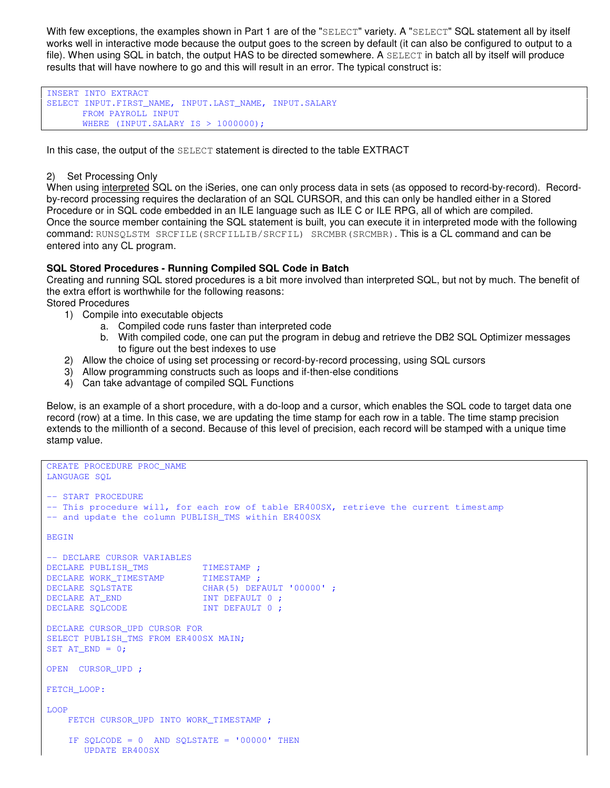With few exceptions, the examples shown in Part 1 are of the "SELECT" variety. A "SELECT" SQL statement all by itself works well in interactive mode because the output goes to the screen by default (it can also be configured to output to a file). When using SQL in batch, the output HAS to be directed somewhere. A SELECT in batch all by itself will produce results that will have nowhere to go and this will result in an error. The typical construct is:

INSERT INTO EXTRACT SELECT INPUT.FIRST\_NAME, INPUT.LAST\_NAME, INPUT.SALARY FROM PAYROLL INPUT WHERE (INPUT.SALARY IS > 1000000);

In this case, the output of the SELECT statement is directed to the table EXTRACT

#### 2) Set Processing Only

When using interpreted SQL on the iSeries, one can only process data in sets (as opposed to record-by-record). Recordby-record processing requires the declaration of an SQL CURSOR, and this can only be handled either in a Stored Procedure or in SQL code embedded in an ILE language such as ILE C or ILE RPG, all of which are compiled. Once the source member containing the SQL statement is built, you can execute it in interpreted mode with the following command: RUNSQLSTM SRCFILE(SRCFILLIB/SRCFIL) SRCMBR(SRCMBR). This is a CL command and can be entered into any CL program.

# **SQL Stored Procedures - Running Compiled SQL Code in Batch**

Creating and running SQL stored procedures is a bit more involved than interpreted SQL, but not by much. The benefit of the extra effort is worthwhile for the following reasons:

Stored Procedures

- 1) Compile into executable objects
	- a. Compiled code runs faster than interpreted code
	- b. With compiled code, one can put the program in debug and retrieve the DB2 SQL Optimizer messages to figure out the best indexes to use
- 2) Allow the choice of using set processing or record-by-record processing, using SQL cursors
- 3) Allow programming constructs such as loops and if-then-else conditions
- 4) Can take advantage of compiled SQL Functions

Below, is an example of a short procedure, with a do-loop and a cursor, which enables the SQL code to target data one record (row) at a time. In this case, we are updating the time stamp for each row in a table. The time stamp precision extends to the millionth of a second. Because of this level of precision, each record will be stamped with a unique time stamp value.

```
CREATE PROCEDURE PROC_NAME
LANGUAGE SQL
-- START PROCEDURE
-- This procedure will, for each row of table ER400SX, retrieve the current timestamp
-- and update the column PUBLISH TMS within ER400SX
BEGIN
-- DECLARE CURSOR VARIABLES
DECLARE PUBLISH_TMS TIMESTAMP ;
DECLARE WORK_TIMESTAMP TIMESTAMP ;
DECLARE SQLSTATE CHAR(5) DEFAULT '00000';
DECLARE AT_END INT DEFAULT 0 ;
DECLARE SQLCODE INT DEFAULT 0;
DECLARE CURSOR_UPD CURSOR FOR
SELECT PUBLISH_TMS FROM ER400SX MAIN;
SET AT END = 0;OPEN CURSOR_UPD ;
FETCH_LOOP:
LOOP
   FETCH CURSOR UPD INTO WORK TIMESTAMP ;
   IF SQLCODE = 0 AND SQLSTATE = '00000' THEN
      UPDATE ER400SX
```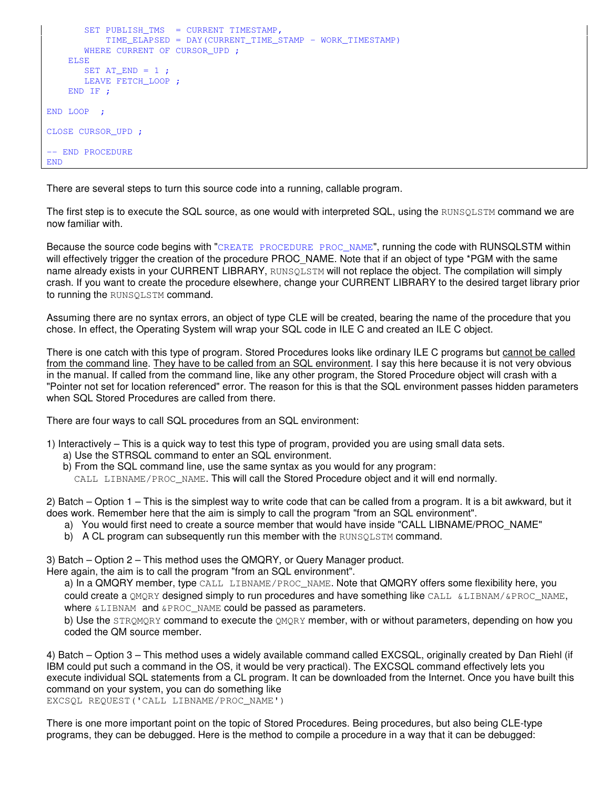```
SET PUBLISH_TMS = CURRENT TIMESTAMP,
          TIME_ELAPSED = DAY(CURRENT_TIME_STAMP – WORK_TIMESTAMP)
      WHERE CURRENT OF CURSOR UPD ;
   ELSE
      SET AT_END = 1;
      LEAVE FETCH_LOOP ;
   END IF ;
END LOOP ;
CLOSE CURSOR_UPD ;
-- END PROCEDURE
END
```
There are several steps to turn this source code into a running, callable program.

The first step is to execute the SQL source, as one would with interpreted SQL, using the RUNSQLSTM command we are now familiar with.

Because the source code begins with "CREATE PROCEDURE PROC\_NAME", running the code with RUNSQLSTM within will effectively trigger the creation of the procedure PROC\_NAME. Note that if an object of type \*PGM with the same name already exists in your CURRENT LIBRARY, RUNSQLSTM will not replace the object. The compilation will simply crash. If you want to create the procedure elsewhere, change your CURRENT LIBRARY to the desired target library prior to running the RUNSOLSTM command.

Assuming there are no syntax errors, an object of type CLE will be created, bearing the name of the procedure that you chose. In effect, the Operating System will wrap your SQL code in ILE C and created an ILE C object.

There is one catch with this type of program. Stored Procedures looks like ordinary ILE C programs but cannot be called from the command line. They have to be called from an SQL environment. I say this here because it is not very obvious in the manual. If called from the command line, like any other program, the Stored Procedure object will crash with a "Pointer not set for location referenced" error. The reason for this is that the SQL environment passes hidden parameters when SQL Stored Procedures are called from there.

There are four ways to call SQL procedures from an SQL environment:

- 1) Interactively This is a quick way to test this type of program, provided you are using small data sets.
	- a) Use the STRSQL command to enter an SQL environment.
	- b) From the SQL command line, use the same syntax as you would for any program:

CALL LIBNAME/PROC\_NAME. This will call the Stored Procedure object and it will end normally.

2) Batch – Option 1 – This is the simplest way to write code that can be called from a program. It is a bit awkward, but it does work. Remember here that the aim is simply to call the program "from an SQL environment".

- a) You would first need to create a source member that would have inside "CALL LIBNAME/PROC\_NAME"
- b) A CL program can subsequently run this member with the RUNSQLSTM command.

3) Batch – Option 2 – This method uses the QMQRY, or Query Manager product.

Here again, the aim is to call the program "from an SQL environment".

a) In a QMQRY member, type CALL LIBNAME/PROC\_NAME. Note that QMQRY offers some flexibility here, you could create a QMQRY designed simply to run procedures and have something like CALL &LIBNAM/&PROC\_NAME, where **&LIBNAM** and **&PROC\_NAME** could be passed as parameters.

b) Use the STRQMQRY command to execute the QMQRY member, with or without parameters, depending on how you coded the QM source member.

4) Batch – Option 3 – This method uses a widely available command called EXCSQL, originally created by Dan Riehl (if IBM could put such a command in the OS, it would be very practical). The EXCSQL command effectively lets you execute individual SQL statements from a CL program. It can be downloaded from the Internet. Once you have built this command on your system, you can do something like EXCSQL REQUEST('CALL LIBNAME/PROC\_NAME')

There is one more important point on the topic of Stored Procedures. Being procedures, but also being CLE-type programs, they can be debugged. Here is the method to compile a procedure in a way that it can be debugged: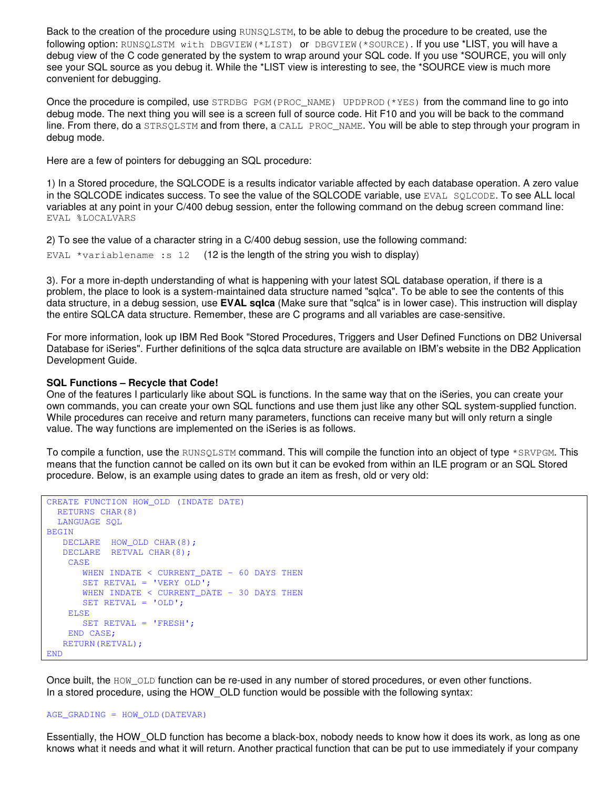Back to the creation of the procedure using RUNSQLSTM, to be able to debug the procedure to be created, use the following option: RUNSQLSTM with DBGVIEW(\*LIST) or DBGVIEW(\*SOURCE). If you use \*LIST, you will have a debug view of the C code generated by the system to wrap around your SQL code. If you use \*SOURCE, you will only see your SQL source as you debug it. While the \*LIST view is interesting to see, the \*SOURCE view is much more convenient for debugging.

Once the procedure is compiled, use  $STRDBC$   $PGM(PROC$   $NAME)$   $UPDPROD$  (\*YES) from the command line to go into debug mode. The next thing you will see is a screen full of source code. Hit F10 and you will be back to the command line. From there, do a STRSQLSTM and from there, a CALL PROC\_NAME. You will be able to step through your program in debug mode.

Here are a few of pointers for debugging an SQL procedure:

1) In a Stored procedure, the SQLCODE is a results indicator variable affected by each database operation. A zero value in the SQLCODE indicates success. To see the value of the SQLCODE variable, use EVAL SQLCODE. To see ALL local variables at any point in your C/400 debug session, enter the following command on the debug screen command line: EVAL %LOCALVARS

2) To see the value of a character string in a C/400 debug session, use the following command:

EVAL  $*$ variablename: s 12 (12 is the length of the string you wish to display)

3). For a more in-depth understanding of what is happening with your latest SQL database operation, if there is a problem, the place to look is a system-maintained data structure named "sqlca". To be able to see the contents of this data structure, in a debug session, use **EVAL sqlca** (Make sure that "sqlca" is in lower case). This instruction will display the entire SQLCA data structure. Remember, these are C programs and all variables are case-sensitive.

For more information, look up IBM Red Book "Stored Procedures, Triggers and User Defined Functions on DB2 Universal Database for iSeries". Further definitions of the sqlca data structure are available on IBM's website in the DB2 Application Development Guide.

#### **SQL Functions – Recycle that Code!**

One of the features I particularly like about SQL is functions. In the same way that on the iSeries, you can create your own commands, you can create your own SQL functions and use them just like any other SQL system-supplied function. While procedures can receive and return many parameters, functions can receive many but will only return a single value. The way functions are implemented on the iSeries is as follows.

To compile a function, use the RUNSQLSTM command. This will compile the function into an object of type \*SRVPGM. This means that the function cannot be called on its own but it can be evoked from within an ILE program or an SQL Stored procedure. Below, is an example using dates to grade an item as fresh, old or very old:

```
CREATE FUNCTION HOW_OLD (INDATE DATE)
 RETURNS CHAR(8)
  LANGUAGE SQL
BEGIN
  DECLARE HOW_OLD CHAR(8);
  DECLARE RETVAL CHAR(8);
   CASE
      WHEN INDATE < CURRENT DATE - 60 DAYS THEN
      SET RETVAL = 'VERY OLD';
      WHEN INDATE < CURRENT DATE - 30 DAYS THEN
      SET RETVAL = 'OLD';
   ELSE
      SET RETVAL = 'FRESH';
   END CASE;
   RETURN(RETVAL);
END
```
Once built, the HOW OLD function can be re-used in any number of stored procedures, or even other functions. In a stored procedure, using the HOW OLD function would be possible with the following syntax:

#### AGE\_GRADING = HOW\_OLD(DATEVAR)

Essentially, the HOW\_OLD function has become a black-box, nobody needs to know how it does its work, as long as one knows what it needs and what it will return. Another practical function that can be put to use immediately if your company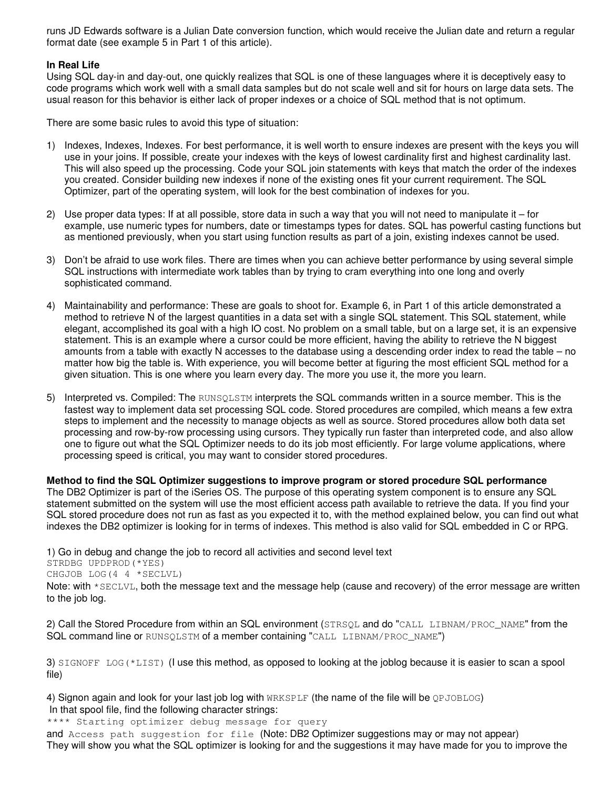runs JD Edwards software is a Julian Date conversion function, which would receive the Julian date and return a regular format date (see example 5 in Part 1 of this article).

### **In Real Life**

Using SQL day-in and day-out, one quickly realizes that SQL is one of these languages where it is deceptively easy to code programs which work well with a small data samples but do not scale well and sit for hours on large data sets. The usual reason for this behavior is either lack of proper indexes or a choice of SQL method that is not optimum.

There are some basic rules to avoid this type of situation:

- 1) Indexes, Indexes, Indexes. For best performance, it is well worth to ensure indexes are present with the keys you will use in your joins. If possible, create your indexes with the keys of lowest cardinality first and highest cardinality last. This will also speed up the processing. Code your SQL join statements with keys that match the order of the indexes you created. Consider building new indexes if none of the existing ones fit your current requirement. The SQL Optimizer, part of the operating system, will look for the best combination of indexes for you.
- 2) Use proper data types: If at all possible, store data in such a way that you will not need to manipulate it for example, use numeric types for numbers, date or timestamps types for dates. SQL has powerful casting functions but as mentioned previously, when you start using function results as part of a join, existing indexes cannot be used.
- 3) Don't be afraid to use work files. There are times when you can achieve better performance by using several simple SQL instructions with intermediate work tables than by trying to cram everything into one long and overly sophisticated command.
- 4) Maintainability and performance: These are goals to shoot for. Example 6, in Part 1 of this article demonstrated a method to retrieve N of the largest quantities in a data set with a single SQL statement. This SQL statement, while elegant, accomplished its goal with a high IO cost. No problem on a small table, but on a large set, it is an expensive statement. This is an example where a cursor could be more efficient, having the ability to retrieve the N biggest amounts from a table with exactly N accesses to the database using a descending order index to read the table – no matter how big the table is. With experience, you will become better at figuring the most efficient SQL method for a given situation. This is one where you learn every day. The more you use it, the more you learn.
- 5) Interpreted vs. Compiled: The RUNSQLSTM interprets the SQL commands written in a source member. This is the fastest way to implement data set processing SQL code. Stored procedures are compiled, which means a few extra steps to implement and the necessity to manage objects as well as source. Stored procedures allow both data set processing and row-by-row processing using cursors. They typically run faster than interpreted code, and also allow one to figure out what the SQL Optimizer needs to do its job most efficiently. For large volume applications, where processing speed is critical, you may want to consider stored procedures.

**Method to find the SQL Optimizer suggestions to improve program or stored procedure SQL performance** The DB2 Optimizer is part of the iSeries OS. The purpose of this operating system component is to ensure any SQL statement submitted on the system will use the most efficient access path available to retrieve the data. If you find your SQL stored procedure does not run as fast as you expected it to, with the method explained below, you can find out what indexes the DB2 optimizer is looking for in terms of indexes. This method is also valid for SQL embedded in C or RPG.

1) Go in debug and change the job to record all activities and second level text STRDBG UPDPROD(\*YES) CHGJOB LOG(4 4 \*SECLVL) Note: with \*SECLVL, both the message text and the message help (cause and recovery) of the error message are written

to the job log.

2) Call the Stored Procedure from within an SQL environment (STRSQL and do "CALL LIBNAM/PROC\_NAME" from the SQL command line or RUNSQLSTM of a member containing "CALL LIBNAM/PROC\_NAME")

3) SIGNOFF LOG( $*$ LIST) (I use this method, as opposed to looking at the joblog because it is easier to scan a spool file)

4) Signon again and look for your last job log with WRKSPLF (the name of the file will be QPJOBLOG) In that spool file, find the following character strings:

\*\*\*\* Starting optimizer debug message for query

and Access path suggestion for file (Note: DB2 Optimizer suggestions may or may not appear) They will show you what the SQL optimizer is looking for and the suggestions it may have made for you to improve the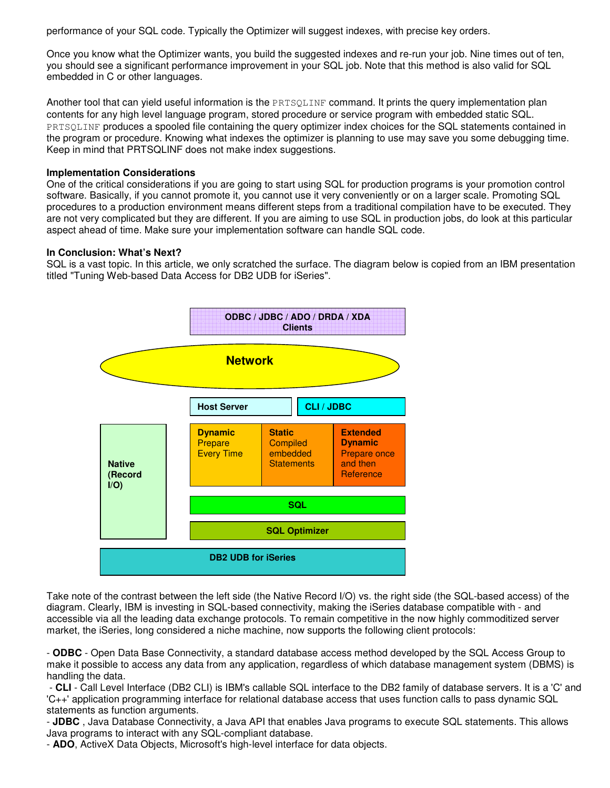performance of your SQL code. Typically the Optimizer will suggest indexes, with precise key orders.

Once you know what the Optimizer wants, you build the suggested indexes and re-run your job. Nine times out of ten, you should see a significant performance improvement in your SQL job. Note that this method is also valid for SQL embedded in C or other languages.

Another tool that can yield useful information is the **PRTSQLINF** command. It prints the query implementation plan contents for any high level language program, stored procedure or service program with embedded static SQL. PRTSQLINF produces a spooled file containing the query optimizer index choices for the SQL statements contained in the program or procedure. Knowing what indexes the optimizer is planning to use may save you some debugging time. Keep in mind that PRTSQLINF does not make index suggestions.

### **Implementation Considerations**

One of the critical considerations if you are going to start using SQL for production programs is your promotion control software. Basically, if you cannot promote it, you cannot use it very conveniently or on a larger scale. Promoting SQL procedures to a production environment means different steps from a traditional compilation have to be executed. They are not very complicated but they are different. If you are aiming to use SQL in production jobs, do look at this particular aspect ahead of time. Make sure your implementation software can handle SQL code.

### **In Conclusion: What's Next?**

SQL is a vast topic. In this article, we only scratched the surface. The diagram below is copied from an IBM presentation titled "Tuning Web-based Data Access for DB2 UDB for iSeries".



Take note of the contrast between the left side (the Native Record I/O) vs. the right side (the SQL-based access) of the diagram. Clearly, IBM is investing in SQL-based connectivity, making the iSeries database compatible with - and accessible via all the leading data exchange protocols. To remain competitive in the now highly commoditized server market, the iSeries, long considered a niche machine, now supports the following client protocols:

- **ODBC** - Open Data Base Connectivity, a standard database access method developed by the SQL Access Group to make it possible to access any data from any application, regardless of which database management system (DBMS) is handling the data.

- **CLI** - Call Level Interface (DB2 CLI) is IBM's callable SQL interface to the DB2 family of database servers. It is a 'C' and 'C++' application programming interface for relational database access that uses function calls to pass dynamic SQL statements as function arguments.

- **JDBC** , Java Database Connectivity, a Java API that enables Java programs to execute SQL statements. This allows Java programs to interact with any SQL-compliant database.

- **ADO**, ActiveX Data Objects, Microsoft's high-level interface for data objects.